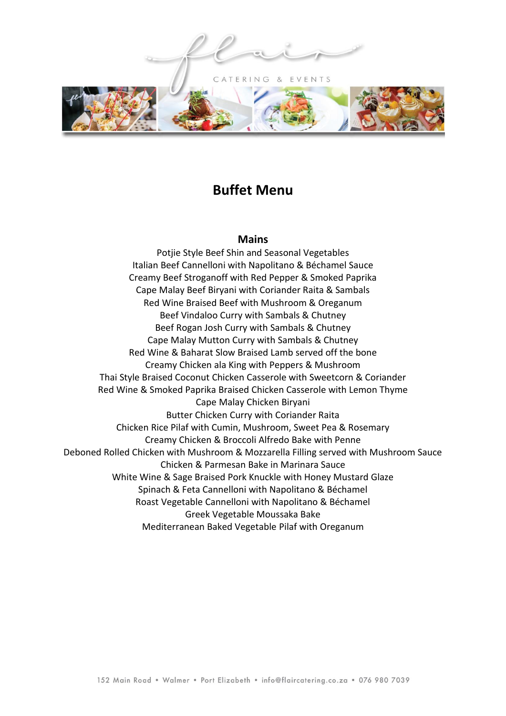CATERING & EVENTS



# **Buffet Menu**

#### **Mains**

Potjie Style Beef Shin and Seasonal Vegetables Italian Beef Cannelloni with Napolitano & Béchamel Sauce Creamy Beef Stroganoff with Red Pepper & Smoked Paprika Cape Malay Beef Biryani with Coriander Raita & Sambals Red Wine Braised Beef with Mushroom & Oreganum Beef Vindaloo Curry with Sambals & Chutney Beef Rogan Josh Curry with Sambals & Chutney Cape Malay Mutton Curry with Sambals & Chutney Red Wine & Baharat Slow Braised Lamb served off the bone Creamy Chicken ala King with Peppers & Mushroom Thai Style Braised Coconut Chicken Casserole with Sweetcorn & Coriander Red Wine & Smoked Paprika Braised Chicken Casserole with Lemon Thyme Cape Malay Chicken Biryani Butter Chicken Curry with Coriander Raita Chicken Rice Pilaf with Cumin, Mushroom, Sweet Pea & Rosemary Creamy Chicken & Broccoli Alfredo Bake with Penne Deboned Rolled Chicken with Mushroom & Mozzarella Filling served with Mushroom Sauce Chicken & Parmesan Bake in Marinara Sauce White Wine & Sage Braised Pork Knuckle with Honey Mustard Glaze Spinach & Feta Cannelloni with Napolitano & Béchamel Roast Vegetable Cannelloni with Napolitano & Béchamel Greek Vegetable Moussaka Bake Mediterranean Baked Vegetable Pilaf with Oreganum